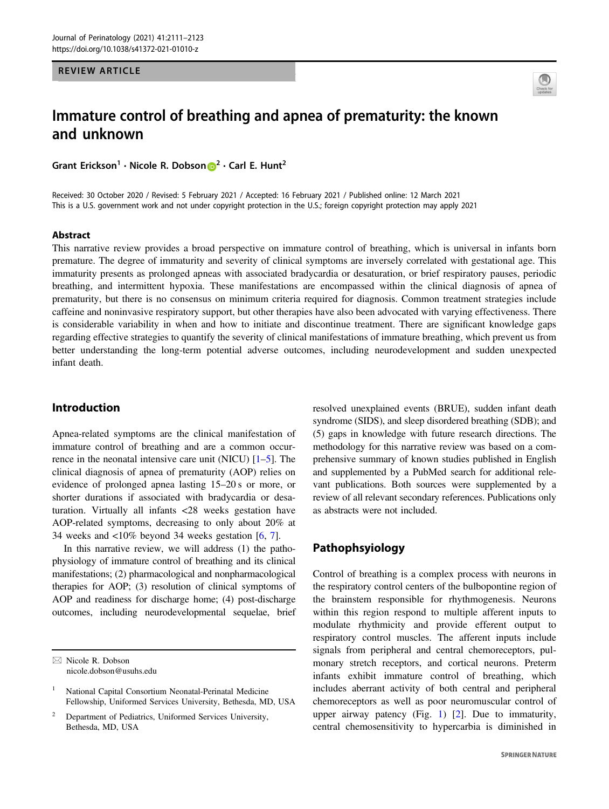REVIEW ARTICLE



# Immature control of breathing and apnea of prematurity: the known and unknown

Grant Erickson<sup>1</sup> • Nicole R. Dobson  $\mathbf{D}^2$  $\mathbf{D}^2$  • Carl E. Hunt<sup>2</sup>

Received: 30 October 2020 / Revised: 5 February 2021 / Accepted: 16 February 2021 / Published online: 12 March 2021 This is a U.S. government work and not under copyright protection in the U.S.; foreign copyright protection may apply 2021

#### Abstract

This narrative review provides a broad perspective on immature control of breathing, which is universal in infants born premature. The degree of immaturity and severity of clinical symptoms are inversely correlated with gestational age. This immaturity presents as prolonged apneas with associated bradycardia or desaturation, or brief respiratory pauses, periodic breathing, and intermittent hypoxia. These manifestations are encompassed within the clinical diagnosis of apnea of prematurity, but there is no consensus on minimum criteria required for diagnosis. Common treatment strategies include caffeine and noninvasive respiratory support, but other therapies have also been advocated with varying effectiveness. There is considerable variability in when and how to initiate and discontinue treatment. There are significant knowledge gaps regarding effective strategies to quantify the severity of clinical manifestations of immature breathing, which prevent us from better understanding the long-term potential adverse outcomes, including neurodevelopment and sudden unexpected infant death.

# Introduction

Apnea-related symptoms are the clinical manifestation of immature control of breathing and are a common occurrence in the neonatal intensive care unit (NICU) [\[1](#page-9-0)–[5](#page-9-0)]. The clinical diagnosis of apnea of prematurity (AOP) relies on evidence of prolonged apnea lasting 15–20 s or more, or shorter durations if associated with bradycardia or desaturation. Virtually all infants <28 weeks gestation have AOP-related symptoms, decreasing to only about 20% at 34 weeks and <10% beyond 34 weeks gestation [\[6](#page-9-0), [7](#page-9-0)].

In this narrative review, we will address (1) the pathophysiology of immature control of breathing and its clinical manifestations; (2) pharmacological and nonpharmacological therapies for AOP; (3) resolution of clinical symptoms of AOP and readiness for discharge home; (4) post-discharge outcomes, including neurodevelopmental sequelae, brief

 $\boxtimes$  Nicole R. Dobson [nicole.dobson@usuhs.edu](mailto:nicole.dobson@usuhs.edu) resolved unexplained events (BRUE), sudden infant death syndrome (SIDS), and sleep disordered breathing (SDB); and (5) gaps in knowledge with future research directions. The methodology for this narrative review was based on a comprehensive summary of known studies published in English and supplemented by a PubMed search for additional relevant publications. Both sources were supplemented by a review of all relevant secondary references. Publications only as abstracts were not included.

# Pathophsyiology

Control of breathing is a complex process with neurons in the respiratory control centers of the bulbopontine region of the brainstem responsible for rhythmogenesis. Neurons within this region respond to multiple afferent inputs to modulate rhythmicity and provide efferent output to respiratory control muscles. The afferent inputs include signals from peripheral and central chemoreceptors, pulmonary stretch receptors, and cortical neurons. Preterm infants exhibit immature control of breathing, which includes aberrant activity of both central and peripheral chemoreceptors as well as poor neuromuscular control of upper airway patency (Fig. [1](#page-1-0)) [[2\]](#page-9-0). Due to immaturity, central chemosensitivity to hypercarbia is diminished in

National Capital Consortium Neonatal-Perinatal Medicine Fellowship, Uniformed Services University, Bethesda, MD, USA

<sup>2</sup> Department of Pediatrics, Uniformed Services University, Bethesda, MD, USA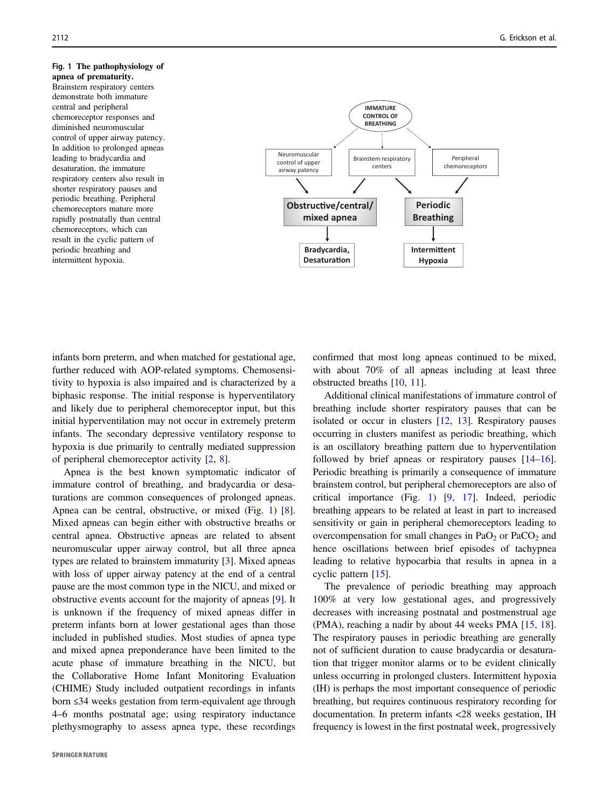## <span id="page-1-0"></span>Fig. 1 The pathophysiology of Brainstem respiratory centers demonstrate both immature central and peripheral chemoreceptor responses and diminished neuromuscular control of upper airway patency. In addition to prolonged apneas leading to bradycardia and desaturation, the immature respiratory centers also result in shorter respiratory pauses and periodic breathing. Peripheral chemoreceptors mature more rapidly postnatally than central chemoreceptors, which can result in the cyclic pattern of periodic breathing and intermittent hypoxia.



infants born preterm, and when matched for gestational age, further reduced with AOP-related symptoms. Chemosensitivity to hypoxia is also impaired and is characterized by a biphasic response. The initial response is hyperventilatory and likely due to peripheral chemoreceptor input, but this initial hyperventilation may not occur in extremely preterm infants. The secondary depressive ventilatory response to hypoxia is due primarily to centrally mediated suppression of peripheral chemoreceptor activity [[2,](#page-9-0) [8\]](#page-9-0).

Apnea is the best known symptomatic indicator of immature control of breathing, and bradycardia or desaturations are common consequences of prolonged apneas. Apnea can be central, obstructive, or mixed (Fig. 1) [\[8](#page-9-0)]. Mixed apneas can begin either with obstructive breaths or central apnea. Obstructive apneas are related to absent neuromuscular upper airway control, but all three apnea types are related to brainstem immaturity [\[3](#page-9-0)]. Mixed apneas with loss of upper airway patency at the end of a central pause are the most common type in the NICU, and mixed or obstructive events account for the majority of apneas [[9\]](#page-9-0). It is unknown if the frequency of mixed apneas differ in preterm infants born at lower gestational ages than those included in published studies. Most studies of apnea type and mixed apnea preponderance have been limited to the acute phase of immature breathing in the NICU, but the Collaborative Home Infant Monitoring Evaluation (CHIME) Study included outpatient recordings in infants born ≤34 weeks gestation from term-equivalent age through 4–6 months postnatal age; using respiratory inductance plethysmography to assess apnea type, these recordings confirmed that most long apneas continued to be mixed, with about 70% of all apneas including at least three obstructed breaths [[10,](#page-9-0) [11](#page-9-0)].

Additional clinical manifestations of immature control of breathing include shorter respiratory pauses that can be isolated or occur in clusters [\[12](#page-9-0), [13](#page-9-0)]. Respiratory pauses occurring in clusters manifest as periodic breathing, which is an oscillatory breathing pattern due to hyperventilation followed by brief apneas or respiratory pauses [[14](#page-9-0)–[16\]](#page-9-0). Periodic breathing is primarily a consequence of immature brainstem control, but peripheral chemoreceptors are also of critical importance (Fig. 1) [\[9](#page-9-0), [17](#page-9-0)]. Indeed, periodic breathing appears to be related at least in part to increased sensitivity or gain in peripheral chemoreceptors leading to overcompensation for small changes in  $PaO<sub>2</sub>$  or  $PaCO<sub>2</sub>$  and hence oscillations between brief episodes of tachypnea leading to relative hypocarbia that results in apnea in a cyclic pattern [[15\]](#page-9-0).

The prevalence of periodic breathing may approach 100% at very low gestational ages, and progressively decreases with increasing postnatal and postmenstrual age (PMA), reaching a nadir by about 44 weeks PMA [\[15](#page-9-0), [18\]](#page-9-0). The respiratory pauses in periodic breathing are generally not of sufficient duration to cause bradycardia or desaturation that trigger monitor alarms or to be evident clinically unless occurring in prolonged clusters. Intermittent hypoxia (IH) is perhaps the most important consequence of periodic breathing, but requires continuous respiratory recording for documentation. In preterm infants <28 weeks gestation, IH frequency is lowest in the first postnatal week, progressively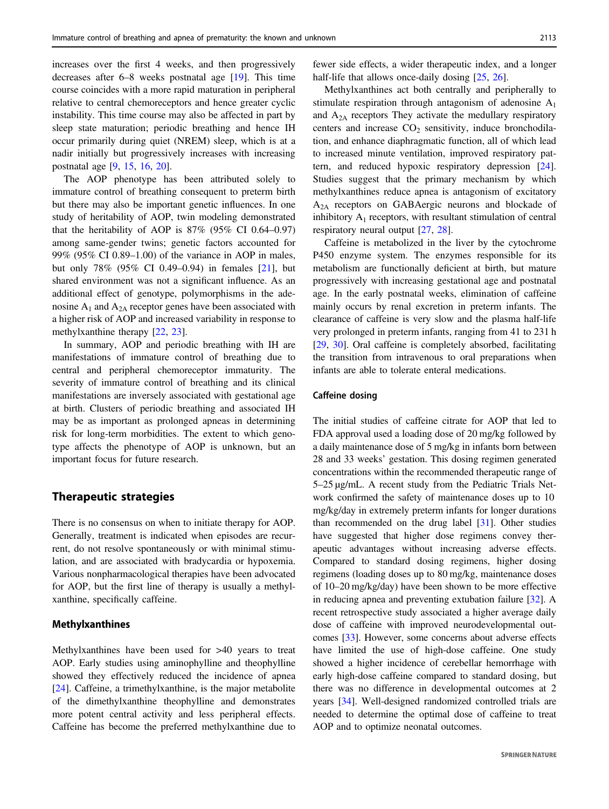increases over the first 4 weeks, and then progressively decreases after 6–8 weeks postnatal age [[19\]](#page-9-0). This time course coincides with a more rapid maturation in peripheral relative to central chemoreceptors and hence greater cyclic instability. This time course may also be affected in part by sleep state maturation; periodic breathing and hence IH occur primarily during quiet (NREM) sleep, which is at a nadir initially but progressively increases with increasing

The AOP phenotype has been attributed solely to immature control of breathing consequent to preterm birth but there may also be important genetic influences. In one study of heritability of AOP, twin modeling demonstrated that the heritability of AOP is  $87\%$  (95% CI 0.64–0.97) among same-gender twins; genetic factors accounted for 99% (95% CI 0.89–1.00) of the variance in AOP in males, but only 78% (95% CI 0.49–0.94) in females [[21\]](#page-9-0), but shared environment was not a significant influence. As an additional effect of genotype, polymorphisms in the adenosine  $A_1$  and  $A_{2A}$  receptor genes have been associated with a higher risk of AOP and increased variability in response to methylxanthine therapy [\[22](#page-9-0), [23\]](#page-9-0).

In summary, AOP and periodic breathing with IH are manifestations of immature control of breathing due to central and peripheral chemoreceptor immaturity. The severity of immature control of breathing and its clinical manifestations are inversely associated with gestational age at birth. Clusters of periodic breathing and associated IH may be as important as prolonged apneas in determining risk for long-term morbidities. The extent to which genotype affects the phenotype of AOP is unknown, but an important focus for future research.

## Therapeutic strategies

postnatal age [\[9](#page-9-0), [15](#page-9-0), [16,](#page-9-0) [20\]](#page-9-0).

There is no consensus on when to initiate therapy for AOP. Generally, treatment is indicated when episodes are recurrent, do not resolve spontaneously or with minimal stimulation, and are associated with bradycardia or hypoxemia. Various nonpharmacological therapies have been advocated for AOP, but the first line of therapy is usually a methylxanthine, specifically caffeine.

#### Methylxanthines

Methylxanthines have been used for >40 years to treat AOP. Early studies using aminophylline and theophylline showed they effectively reduced the incidence of apnea [\[24](#page-9-0)]. Caffeine, a trimethylxanthine, is the major metabolite of the dimethylxanthine theophylline and demonstrates more potent central activity and less peripheral effects. Caffeine has become the preferred methylxanthine due to fewer side effects, a wider therapeutic index, and a longer half-life that allows once-daily dosing [\[25](#page-10-0), [26](#page-10-0)].

Methylxanthines act both centrally and peripherally to stimulate respiration through antagonism of adenosine A1 and  $A_{2A}$  receptors They activate the medullary respiratory centers and increase  $CO<sub>2</sub>$  sensitivity, induce bronchodilation, and enhance diaphragmatic function, all of which lead to increased minute ventilation, improved respiratory pattern, and reduced hypoxic respiratory depression [[24\]](#page-9-0). Studies suggest that the primary mechanism by which methylxanthines reduce apnea is antagonism of excitatory A2A receptors on GABAergic neurons and blockade of inhibitory  $A_1$  receptors, with resultant stimulation of central respiratory neural output [[27,](#page-10-0) [28\]](#page-10-0).

Caffeine is metabolized in the liver by the cytochrome P450 enzyme system. The enzymes responsible for its metabolism are functionally deficient at birth, but mature progressively with increasing gestational age and postnatal age. In the early postnatal weeks, elimination of caffeine mainly occurs by renal excretion in preterm infants. The clearance of caffeine is very slow and the plasma half-life very prolonged in preterm infants, ranging from 41 to 231 h [\[29](#page-10-0), [30\]](#page-10-0). Oral caffeine is completely absorbed, facilitating the transition from intravenous to oral preparations when infants are able to tolerate enteral medications.

#### Caffeine dosing

The initial studies of caffeine citrate for AOP that led to FDA approval used a loading dose of 20 mg/kg followed by a daily maintenance dose of 5 mg/kg in infants born between 28 and 33 weeks' gestation. This dosing regimen generated concentrations within the recommended therapeutic range of 5–25 μg/mL. A recent study from the Pediatric Trials Network confirmed the safety of maintenance doses up to 10 mg/kg/day in extremely preterm infants for longer durations than recommended on the drug label [[31\]](#page-10-0). Other studies have suggested that higher dose regimens convey therapeutic advantages without increasing adverse effects. Compared to standard dosing regimens, higher dosing regimens (loading doses up to 80 mg/kg, maintenance doses of 10–20 mg/kg/day) have been shown to be more effective in reducing apnea and preventing extubation failure [\[32](#page-10-0)]. A recent retrospective study associated a higher average daily dose of caffeine with improved neurodevelopmental outcomes [[33\]](#page-10-0). However, some concerns about adverse effects have limited the use of high-dose caffeine. One study showed a higher incidence of cerebellar hemorrhage with early high-dose caffeine compared to standard dosing, but there was no difference in developmental outcomes at 2 years [\[34\]](#page-10-0). Well-designed randomized controlled trials are needed to determine the optimal dose of caffeine to treat AOP and to optimize neonatal outcomes.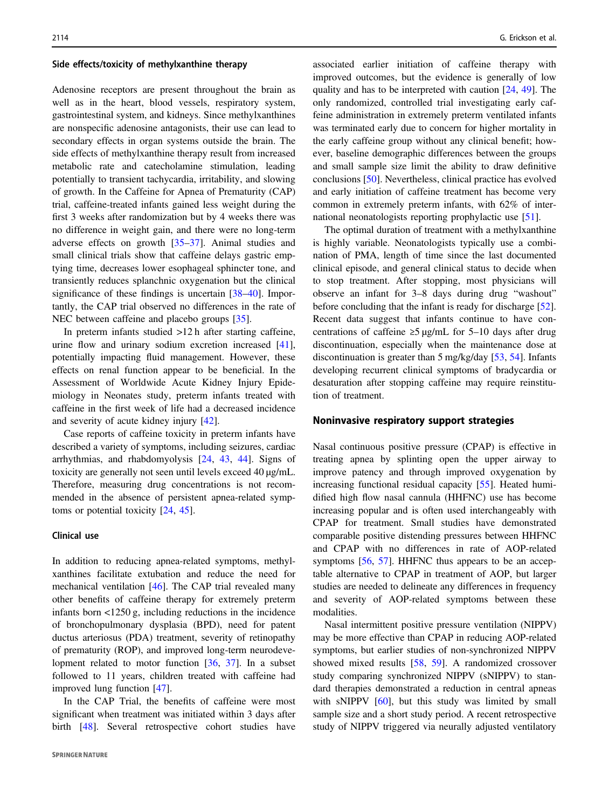#### Side effects/toxicity of methylxanthine therapy

Adenosine receptors are present throughout the brain as well as in the heart, blood vessels, respiratory system, gastrointestinal system, and kidneys. Since methylxanthines are nonspecific adenosine antagonists, their use can lead to secondary effects in organ systems outside the brain. The side effects of methylxanthine therapy result from increased metabolic rate and catecholamine stimulation, leading potentially to transient tachycardia, irritability, and slowing of growth. In the Caffeine for Apnea of Prematurity (CAP) trial, caffeine-treated infants gained less weight during the first 3 weeks after randomization but by 4 weeks there was no difference in weight gain, and there were no long-term adverse effects on growth [[35](#page-10-0)–[37](#page-10-0)]. Animal studies and small clinical trials show that caffeine delays gastric emptying time, decreases lower esophageal sphincter tone, and transiently reduces splanchnic oxygenation but the clinical significance of these findings is uncertain [\[38](#page-10-0)–[40](#page-10-0)]. Importantly, the CAP trial observed no differences in the rate of NEC between caffeine and placebo groups [[35\]](#page-10-0).

In preterm infants studied >12 h after starting caffeine, urine flow and urinary sodium excretion increased [\[41](#page-10-0)], potentially impacting fluid management. However, these effects on renal function appear to be beneficial. In the Assessment of Worldwide Acute Kidney Injury Epidemiology in Neonates study, preterm infants treated with caffeine in the first week of life had a decreased incidence and severity of acute kidney injury [\[42](#page-10-0)].

Case reports of caffeine toxicity in preterm infants have described a variety of symptoms, including seizures, cardiac arrhythmias, and rhabdomyolysis [\[24](#page-9-0), [43,](#page-10-0) [44\]](#page-10-0). Signs of toxicity are generally not seen until levels exceed 40 μg/mL. Therefore, measuring drug concentrations is not recommended in the absence of persistent apnea-related symptoms or potential toxicity [[24,](#page-9-0) [45](#page-10-0)].

#### Clinical use

In addition to reducing apnea-related symptoms, methylxanthines facilitate extubation and reduce the need for mechanical ventilation [[46\]](#page-10-0). The CAP trial revealed many other benefits of caffeine therapy for extremely preterm infants born <1250 g, including reductions in the incidence of bronchopulmonary dysplasia (BPD), need for patent ductus arteriosus (PDA) treatment, severity of retinopathy of prematurity (ROP), and improved long-term neurodevelopment related to motor function [\[36](#page-10-0), [37\]](#page-10-0). In a subset followed to 11 years, children treated with caffeine had improved lung function [[47\]](#page-10-0).

In the CAP Trial, the benefits of caffeine were most significant when treatment was initiated within 3 days after birth [[48\]](#page-10-0). Several retrospective cohort studies have

associated earlier initiation of caffeine therapy with improved outcomes, but the evidence is generally of low quality and has to be interpreted with caution [[24,](#page-9-0) [49](#page-10-0)]. The only randomized, controlled trial investigating early caffeine administration in extremely preterm ventilated infants was terminated early due to concern for higher mortality in the early caffeine group without any clinical benefit; however, baseline demographic differences between the groups and small sample size limit the ability to draw definitive conclusions [[50\]](#page-10-0). Nevertheless, clinical practice has evolved and early initiation of caffeine treatment has become very common in extremely preterm infants, with 62% of international neonatologists reporting prophylactic use [[51\]](#page-10-0).

The optimal duration of treatment with a methylxanthine is highly variable. Neonatologists typically use a combination of PMA, length of time since the last documented clinical episode, and general clinical status to decide when to stop treatment. After stopping, most physicians will observe an infant for 3–8 days during drug "washout" before concluding that the infant is ready for discharge [[52\]](#page-10-0). Recent data suggest that infants continue to have concentrations of caffeine ≥5 μg/mL for 5–10 days after drug discontinuation, especially when the maintenance dose at discontinuation is greater than 5 mg/kg/day [[53,](#page-10-0) [54\]](#page-10-0). Infants developing recurrent clinical symptoms of bradycardia or desaturation after stopping caffeine may require reinstitution of treatment.

#### Noninvasive respiratory support strategies

Nasal continuous positive pressure (CPAP) is effective in treating apnea by splinting open the upper airway to improve patency and through improved oxygenation by increasing functional residual capacity [\[55](#page-10-0)]. Heated humidified high flow nasal cannula (HHFNC) use has become increasing popular and is often used interchangeably with CPAP for treatment. Small studies have demonstrated comparable positive distending pressures between HHFNC and CPAP with no differences in rate of AOP-related symptoms [[56,](#page-10-0) [57](#page-10-0)]. HHFNC thus appears to be an acceptable alternative to CPAP in treatment of AOP, but larger studies are needed to delineate any differences in frequency and severity of AOP-related symptoms between these modalities.

Nasal intermittent positive pressure ventilation (NIPPV) may be more effective than CPAP in reducing AOP-related symptoms, but earlier studies of non-synchronized NIPPV showed mixed results [[58,](#page-10-0) [59](#page-10-0)]. A randomized crossover study comparing synchronized NIPPV (sNIPPV) to standard therapies demonstrated a reduction in central apneas with sNIPPV [[60\]](#page-10-0), but this study was limited by small sample size and a short study period. A recent retrospective study of NIPPV triggered via neurally adjusted ventilatory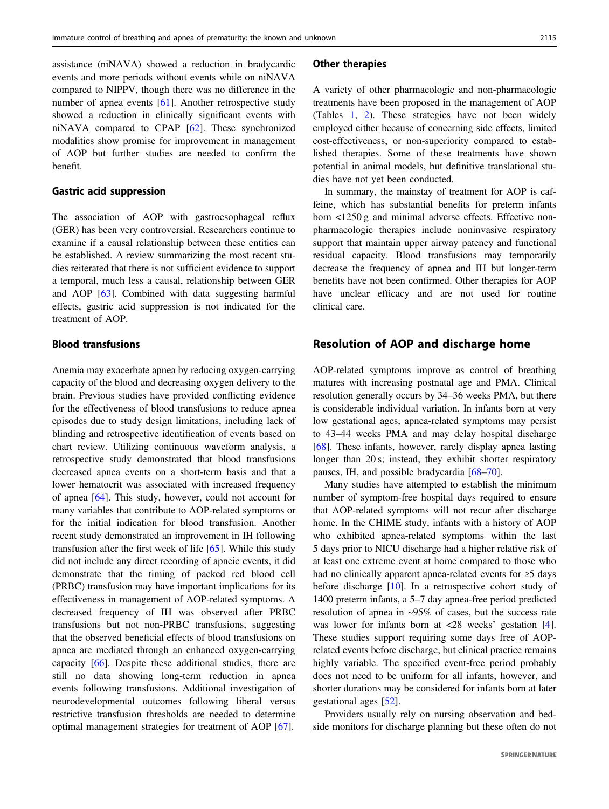assistance (niNAVA) showed a reduction in bradycardic events and more periods without events while on niNAVA compared to NIPPV, though there was no difference in the number of apnea events [[61\]](#page-10-0). Another retrospective study showed a reduction in clinically significant events with niNAVA compared to CPAP [\[62](#page-10-0)]. These synchronized modalities show promise for improvement in management of AOP but further studies are needed to confirm the benefit.

#### Gastric acid suppression

The association of AOP with gastroesophageal reflux (GER) has been very controversial. Researchers continue to examine if a causal relationship between these entities can be established. A review summarizing the most recent studies reiterated that there is not sufficient evidence to support a temporal, much less a causal, relationship between GER and AOP [[63\]](#page-10-0). Combined with data suggesting harmful effects, gastric acid suppression is not indicated for the treatment of AOP.

## Blood transfusions

Anemia may exacerbate apnea by reducing oxygen-carrying capacity of the blood and decreasing oxygen delivery to the brain. Previous studies have provided conflicting evidence for the effectiveness of blood transfusions to reduce apnea episodes due to study design limitations, including lack of blinding and retrospective identification of events based on chart review. Utilizing continuous waveform analysis, a retrospective study demonstrated that blood transfusions decreased apnea events on a short-term basis and that a lower hematocrit was associated with increased frequency of apnea [[64\]](#page-11-0). This study, however, could not account for many variables that contribute to AOP-related symptoms or for the initial indication for blood transfusion. Another recent study demonstrated an improvement in IH following transfusion after the first week of life [\[65](#page-11-0)]. While this study did not include any direct recording of apneic events, it did demonstrate that the timing of packed red blood cell (PRBC) transfusion may have important implications for its effectiveness in management of AOP-related symptoms. A decreased frequency of IH was observed after PRBC transfusions but not non-PRBC transfusions, suggesting that the observed beneficial effects of blood transfusions on apnea are mediated through an enhanced oxygen-carrying capacity [\[66](#page-11-0)]. Despite these additional studies, there are still no data showing long-term reduction in apnea events following transfusions. Additional investigation of neurodevelopmental outcomes following liberal versus restrictive transfusion thresholds are needed to determine optimal management strategies for treatment of AOP [[67\]](#page-11-0).

#### Other therapies

A variety of other pharmacologic and non-pharmacologic treatments have been proposed in the management of AOP (Tables [1](#page-5-0), [2](#page-6-0)). These strategies have not been widely employed either because of concerning side effects, limited cost-effectiveness, or non-superiority compared to established therapies. Some of these treatments have shown potential in animal models, but definitive translational studies have not yet been conducted.

In summary, the mainstay of treatment for AOP is caffeine, which has substantial benefits for preterm infants born <1250 g and minimal adverse effects. Effective nonpharmacologic therapies include noninvasive respiratory support that maintain upper airway patency and functional residual capacity. Blood transfusions may temporarily decrease the frequency of apnea and IH but longer-term benefits have not been confirmed. Other therapies for AOP have unclear efficacy and are not used for routine clinical care.

## Resolution of AOP and discharge home

AOP-related symptoms improve as control of breathing matures with increasing postnatal age and PMA. Clinical resolution generally occurs by 34–36 weeks PMA, but there is considerable individual variation. In infants born at very low gestational ages, apnea-related symptoms may persist to 43–44 weeks PMA and may delay hospital discharge [\[68](#page-11-0)]. These infants, however, rarely display apnea lasting longer than 20 s; instead, they exhibit shorter respiratory pauses, IH, and possible bradycardia [\[68](#page-11-0)–[70](#page-11-0)].

Many studies have attempted to establish the minimum number of symptom-free hospital days required to ensure that AOP-related symptoms will not recur after discharge home. In the CHIME study, infants with a history of AOP who exhibited apnea-related symptoms within the last 5 days prior to NICU discharge had a higher relative risk of at least one extreme event at home compared to those who had no clinically apparent apnea-related events for ≥5 days before discharge [[10\]](#page-9-0). In a retrospective cohort study of 1400 preterm infants, a 5–7 day apnea-free period predicted resolution of apnea in ~95% of cases, but the success rate was lower for infants born at <28 weeks' gestation [[4\]](#page-9-0). These studies support requiring some days free of AOPrelated events before discharge, but clinical practice remains highly variable. The specified event-free period probably does not need to be uniform for all infants, however, and shorter durations may be considered for infants born at later gestational ages [\[52](#page-10-0)].

Providers usually rely on nursing observation and bedside monitors for discharge planning but these often do not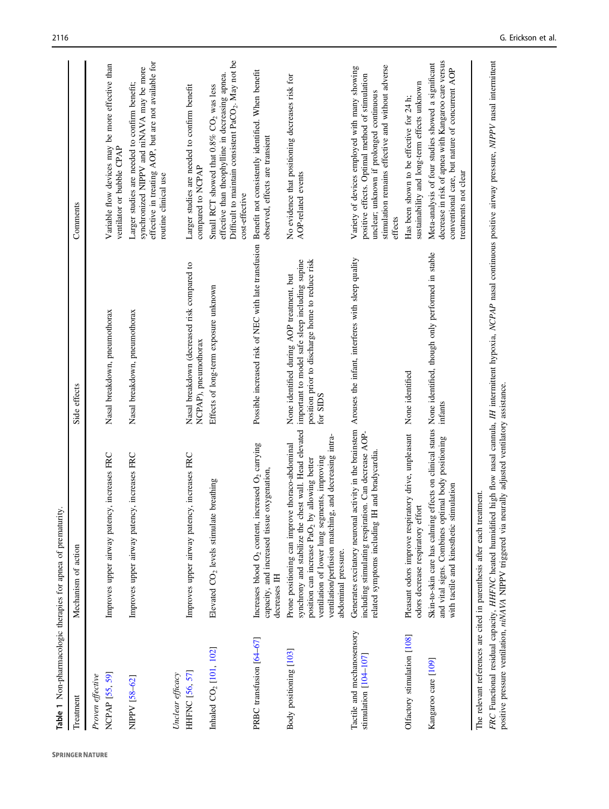<span id="page-5-0"></span>

| á                                                       |                                                                                                                                                                                                                                                                                                                                                                        |                                                                                                                                                            |                                                                                                                                                                                                              |
|---------------------------------------------------------|------------------------------------------------------------------------------------------------------------------------------------------------------------------------------------------------------------------------------------------------------------------------------------------------------------------------------------------------------------------------|------------------------------------------------------------------------------------------------------------------------------------------------------------|--------------------------------------------------------------------------------------------------------------------------------------------------------------------------------------------------------------|
| Treatment                                               | Mechanism of action                                                                                                                                                                                                                                                                                                                                                    | Side effects                                                                                                                                               | Comments                                                                                                                                                                                                     |
| <b>NCPAP</b> [55, 59]<br>Proven effective               | Improves upper airway patency, increases FRC                                                                                                                                                                                                                                                                                                                           | Nasal breakdown, pneumothorax                                                                                                                              | Variable flow devices may be more effective than<br>ventilator or bubble CPAP                                                                                                                                |
| NIPPV [58-62]                                           | Improves upper airway patency, increases FRC                                                                                                                                                                                                                                                                                                                           | Nasal breakdown, pneumothorax                                                                                                                              | effective in treating AOP, but are not available for<br>synchronized NIPPV and niNAVA may be more<br>Larger studies are needed to confirm benefit;<br>routine clinical use                                   |
| <b>HHFNC</b> [56, 57]<br>Unclear efficacy               | Improves upper airway patency, increases FRC                                                                                                                                                                                                                                                                                                                           | Nasal breakdown (decreased risk compared to<br>NCPAP), pneumothorax                                                                                        | Larger studies are needed to confirm benefit<br>compared to NCPAP                                                                                                                                            |
| Inhaled CO <sub>2</sub> [101, 102]                      | breathing<br>Elevated $CO2$ levels stimulate                                                                                                                                                                                                                                                                                                                           | Effects of long-term exposure unknown                                                                                                                      | Difficult to maintain consistent $PaCO2$ . May not be<br>effective than theophylline in decreasing apnea.<br>Small RCT showed that 0.8% CO <sub>2</sub> was less<br>cost-effective                           |
| PRBC transfusion [64-67]                                | Increases blood O <sub>2</sub> content, increased O <sub>2</sub> carrying<br>oxygenation.<br>capacity, and increased tissue<br>decreases IH                                                                                                                                                                                                                            | Possible increased risk of NEC with late transfusion Benefit not consistently identified. When benefit                                                     | observed, effects are transient                                                                                                                                                                              |
| Body positioning [103]                                  | synchrony and stabilize the chest wall. Head elevated<br>ventilation/perfusion matching, and decreasing intra-<br>Prone positioning can improve thoraco-abdominal<br>ventilation of lower lung segments, improving<br>position can increase PaO <sub>2</sub> by allowing better<br>abdominal pressure.                                                                 | important to model safe sleep including supine<br>position prior to discharge home to reduce risk<br>None identified during AOP treatment, but<br>for SIDS | No evidence that positioning decreases risk for<br>AOP-related events                                                                                                                                        |
| Tactile and mechanosensory<br>stimulation $[104 - 107]$ | Generates excitatory neuronal activity in the brainstern Arouses the infant, interferes with sleep quality<br>including stimulating respiration. Can decrease AOP-<br>related symptoms including IH and bradycardia                                                                                                                                                    |                                                                                                                                                            | stimulation remains effective and without adverse<br>Variety of devices employed with many showing<br>positive effects. Optimal method of stimulation<br>unclear; unknown if prolonged continuous<br>effects |
| Olfactory stimulation [108]                             | Pleasant odors improve respiratory drive, unpleasant<br>odors decrease respiratory effort                                                                                                                                                                                                                                                                              | None identified                                                                                                                                            | sustainability and long-term effects unknown<br>Has been shown to be effective for 24 h;                                                                                                                     |
| Kangaroo care [109]                                     | Skin-to-skin care has calming effects on clinical status None identified, though only performed in stable<br>and vital signs. Combines optimal body positioning<br>with tactile and kinesthetic stimulation                                                                                                                                                            | infants                                                                                                                                                    | decrease in risk of apnea with Kangaroo care versus<br>Meta-analysis of four studies showed a significant<br>conventional care, but nature of concurrent AOP<br>treatments not clear                         |
|                                                         | FRC Functional residual capacity, HHFNC heated humidified high flow nasal cannula, IH intermittent hypoxia, NCPAP nasal continuous positive airway pressure, NIPPV nasal intermittent<br>positive pressure ventilation, niNAVA NIPPV triggered via neurally adjusted ventilatory assistance.<br>The relevant references are cited in parenthesis after each treatment. |                                                                                                                                                            |                                                                                                                                                                                                              |

Table 1 Non-pharmacologic therapies for apnea of prematurity. Table 1 Non-pharmacologic therapies for apnea of prematurity.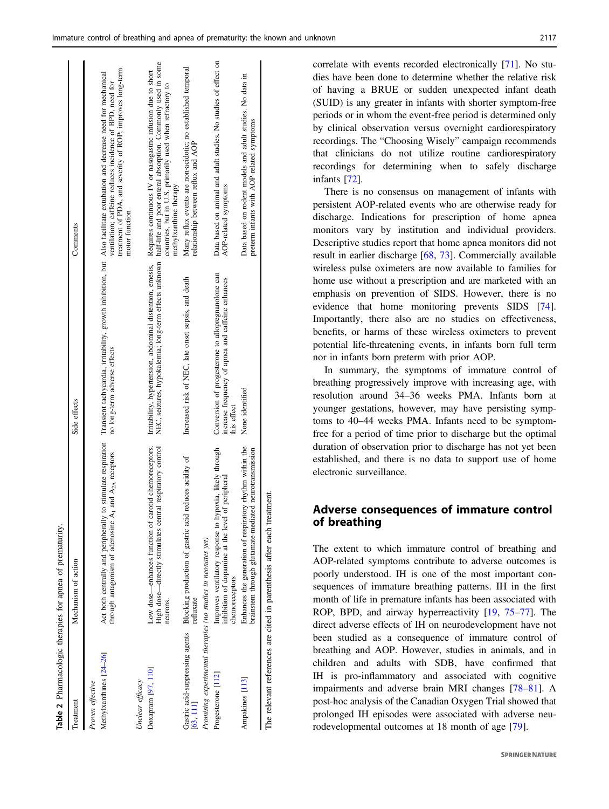<span id="page-6-0"></span>

|                                                               | Table 2 Pharmacologic therapies for apnea of prematurity.                                                                               |                                                                                                                        |                                                                                                                                                                                                                                                                                                                                 |
|---------------------------------------------------------------|-----------------------------------------------------------------------------------------------------------------------------------------|------------------------------------------------------------------------------------------------------------------------|---------------------------------------------------------------------------------------------------------------------------------------------------------------------------------------------------------------------------------------------------------------------------------------------------------------------------------|
| Treatment                                                     | Mechanism of action                                                                                                                     | Side effects                                                                                                           | Comments                                                                                                                                                                                                                                                                                                                        |
| Methylxanthines [24-26]<br>Proven effective                   | through antagonism of adenosine $A_1$ and $A_{2A}$ receptors                                                                            | no long-term adverse effects                                                                                           | treatment of PDA, and severity of ROP; improves long-term<br>Act both centrally and peripherally to stimulate respiration Transient tachycardia, irritability, growth inhibition, but Also facilitate extubation and decrease need for mechanical<br>ventilation; caffeine reduces incidence of BPD, need for<br>motor function |
| Unclear efficacy                                              |                                                                                                                                         |                                                                                                                        |                                                                                                                                                                                                                                                                                                                                 |
| Doxapram [97, 110]                                            | High dose-directly stimulates central respiratory control<br>Low dose—enhances function of carotid chemoreceptors.<br>neurons.          | NEC, seizures, hypokalemia; long-term effects unknown<br>Irritability, hypertension, abdominal distention, emesis,     | half-life and poor enteral absorption. Commonly used in some<br>Requires continuous IV or nasogastric infusion due to short<br>countries, but in U.S. primarily used when refractory to<br>methylxanthine therapy                                                                                                               |
| [63, 111]                                                     | Gastric acid-suppressing agents Blocking production of gastric acid reduces acidity of<br>refluxate                                     | Increased risk of NEC, late onset sepsis, and death                                                                    | Many reflux events are non-acidotic; no established temporal<br>relationship between reflux and AOP                                                                                                                                                                                                                             |
| Promising experimental therapies (no studies in neonates yet) |                                                                                                                                         |                                                                                                                        |                                                                                                                                                                                                                                                                                                                                 |
| Progesterone [112]                                            | nypoxia, likely through<br>of peripheral<br>inhibition of dopamine at the level<br>Improves ventilatory response to h<br>chemoreceptors | Conversion of progesterone to allopregnanolone can<br>increase frequency of apnea and caffeine enhances<br>this effect | Data based on animal and adult studies. No studies of effect on<br>AOP-related symptoms                                                                                                                                                                                                                                         |
| Ampakines [113]                                               | Enhances the generation of respiratory rhythm within the<br>brainstem through glutamate-mediated neurotransmission                      | None identified                                                                                                        | Data based on rodent models and adult studies. No data in<br>preterm infants with AOP-related symptoms                                                                                                                                                                                                                          |
|                                                               | The relevant references are cited in parenthesis after each treatment.                                                                  |                                                                                                                        |                                                                                                                                                                                                                                                                                                                                 |

correlate with events recorded electronically [[71\]](#page-11-0). No studies have been done to determine whether the relative risk of having a BRUE or sudden unexpected infant death (SUID) is any greater in infants with shorter symptom-free periods or in whom the event-free period is determined only by clinical observation versus overnight cardiorespiratory recordings. The "Choosing Wisely" campaign recommends that clinicians do not utilize routine cardiorespiratory recordings for determining when to safely discharge infants [[72\]](#page-11-0).

There is no consensus on management of infants with persistent AOP-related events who are otherwise ready for discharge. Indications for prescription of home apnea monitors vary by institution and individual providers. Descriptive studies report that home apnea monitors did not result in earlier discharge [\[68](#page-11-0), [73](#page-11-0)]. Commercially available wireless pulse oximeters are now available to families for home use without a prescription and are marketed with an emphasis on prevention of SIDS. However, there is no evidence that home monitoring prevents SIDS [[74\]](#page-11-0). Importantly, there also are no studies on effectiveness, benefits, or harms of these wireless oximeters to prevent potential life-threatening events, in infants born full term nor in infants born preterm with prior AOP.

In summary, the symptoms of immature control of breathing progressively improve with increasing age, with resolution around 34–36 weeks PMA. Infants born at younger gestations, however, may have persisting symptoms to 40–44 weeks PMA. Infants need to be symptomfree for a period of time prior to discharge but the optimal duration of observation prior to discharge has not yet been established, and there is no data to support use of home electronic surveillance.

# Adverse consequences of immature control of breathing

The extent to which immature control of breathing and AOP-related symptoms contribute to adverse outcomes is poorly understood. IH is one of the most important consequences of immature breathing patterns. IH in the first month of life in premature infants has been associated with ROP, BPD, and airway hyperreactivity [[19,](#page-9-0) [75](#page-11-0)–[77\]](#page-11-0). The direct adverse effects of IH on neurodevelopment have not been studied as a consequence of immature control of breathing and AOP. However, studies in animals, and in children and adults with SDB, have confirmed that IH is pro-inflammatory and associated with cognitive impairments and adverse brain MRI changes [[78](#page-11-0)–[81\]](#page-11-0). A post-hoc analysis of the Canadian Oxygen Trial showed that prolonged IH episodes were associated with adverse neurodevelopmental outcomes at 18 month of age [\[79](#page-11-0)].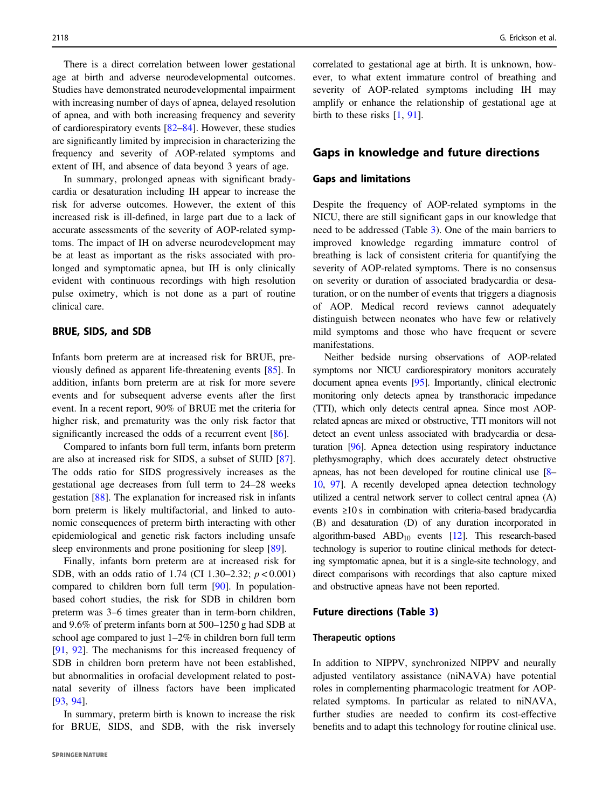There is a direct correlation between lower gestational age at birth and adverse neurodevelopmental outcomes. Studies have demonstrated neurodevelopmental impairment with increasing number of days of apnea, delayed resolution of apnea, and with both increasing frequency and severity of cardiorespiratory events [[82](#page-11-0)–[84](#page-11-0)]. However, these studies are significantly limited by imprecision in characterizing the frequency and severity of AOP-related symptoms and extent of IH, and absence of data beyond 3 years of age.

In summary, prolonged apneas with significant bradycardia or desaturation including IH appear to increase the risk for adverse outcomes. However, the extent of this increased risk is ill-defined, in large part due to a lack of accurate assessments of the severity of AOP-related symptoms. The impact of IH on adverse neurodevelopment may be at least as important as the risks associated with prolonged and symptomatic apnea, but IH is only clinically evident with continuous recordings with high resolution pulse oximetry, which is not done as a part of routine clinical care.

#### BRUE, SIDS, and SDB

Infants born preterm are at increased risk for BRUE, previously defined as apparent life-threatening events [[85\]](#page-11-0). In addition, infants born preterm are at risk for more severe events and for subsequent adverse events after the first event. In a recent report, 90% of BRUE met the criteria for higher risk, and prematurity was the only risk factor that significantly increased the odds of a recurrent event [\[86](#page-11-0)].

Compared to infants born full term, infants born preterm are also at increased risk for SIDS, a subset of SUID [\[87](#page-11-0)]. The odds ratio for SIDS progressively increases as the gestational age decreases from full term to 24–28 weeks gestation [[88\]](#page-11-0). The explanation for increased risk in infants born preterm is likely multifactorial, and linked to autonomic consequences of preterm birth interacting with other epidemiological and genetic risk factors including unsafe sleep environments and prone positioning for sleep [[89\]](#page-11-0).

Finally, infants born preterm are at increased risk for SDB, with an odds ratio of 1.74 (CI 1.30–2.32;  $p < 0.001$ ) compared to children born full term [\[90](#page-11-0)]. In populationbased cohort studies, the risk for SDB in children born preterm was 3–6 times greater than in term-born children, and 9.6% of preterm infants born at 500–1250 g had SDB at school age compared to just 1–2% in children born full term [\[91](#page-11-0), [92\]](#page-11-0). The mechanisms for this increased frequency of SDB in children born preterm have not been established, but abnormalities in orofacial development related to postnatal severity of illness factors have been implicated [\[93](#page-11-0), [94](#page-11-0)].

In summary, preterm birth is known to increase the risk for BRUE, SIDS, and SDB, with the risk inversely correlated to gestational age at birth. It is unknown, however, to what extent immature control of breathing and severity of AOP-related symptoms including IH may amplify or enhance the relationship of gestational age at birth to these risks [[1,](#page-9-0) [91\]](#page-11-0).

## Gaps in knowledge and future directions

## Gaps and limitations

Despite the frequency of AOP-related symptoms in the NICU, there are still significant gaps in our knowledge that need to be addressed (Table [3](#page-8-0)). One of the main barriers to improved knowledge regarding immature control of breathing is lack of consistent criteria for quantifying the severity of AOP-related symptoms. There is no consensus on severity or duration of associated bradycardia or desaturation, or on the number of events that triggers a diagnosis of AOP. Medical record reviews cannot adequately distinguish between neonates who have few or relatively mild symptoms and those who have frequent or severe manifestations.

Neither bedside nursing observations of AOP-related symptoms nor NICU cardiorespiratory monitors accurately document apnea events [[95](#page-11-0)]. Importantly, clinical electronic monitoring only detects apnea by transthoracic impedance (TTI), which only detects central apnea. Since most AOPrelated apneas are mixed or obstructive, TTI monitors will not detect an event unless associated with bradycardia or desaturation [\[96\]](#page-11-0). Apnea detection using respiratory inductance plethysmography, which does accurately detect obstructive apneas, has not been developed for routine clinical use [\[8](#page-9-0)– [10,](#page-9-0) [97\]](#page-11-0). A recently developed apnea detection technology utilized a central network server to collect central apnea (A) events ≥10 s in combination with criteria-based bradycardia (B) and desaturation (D) of any duration incorporated in algorithm-based  $ABD_{10}$  events [[12](#page-9-0)]. This research-based technology is superior to routine clinical methods for detecting symptomatic apnea, but it is a single-site technology, and direct comparisons with recordings that also capture mixed and obstructive apneas have not been reported.

#### Future directions (Table [3\)](#page-8-0)

#### Therapeutic options

In addition to NIPPV, synchronized NIPPV and neurally adjusted ventilatory assistance (niNAVA) have potential roles in complementing pharmacologic treatment for AOPrelated symptoms. In particular as related to niNAVA, further studies are needed to confirm its cost-effective benefits and to adapt this technology for routine clinical use.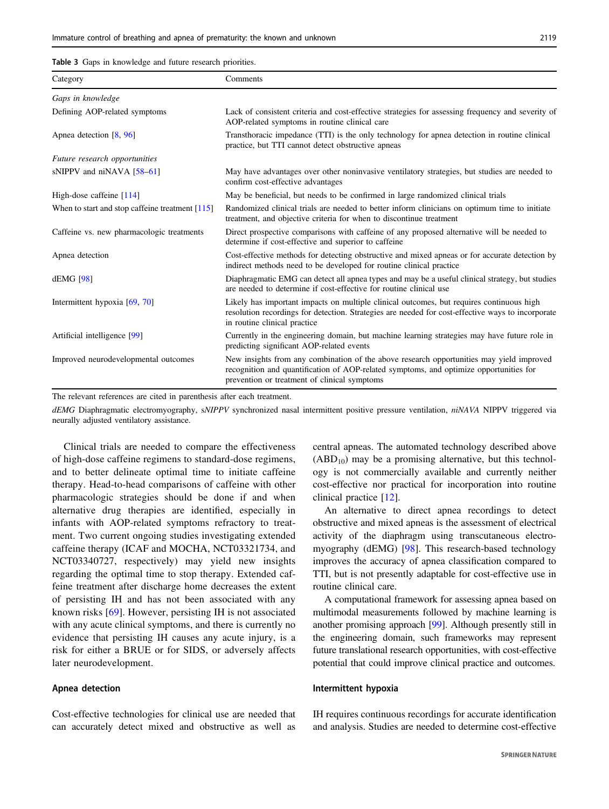<span id="page-8-0"></span>Table 3 Gaps in knowledge and future research priorities.

| Category                                          | Comments                                                                                                                                                                                                                           |
|---------------------------------------------------|------------------------------------------------------------------------------------------------------------------------------------------------------------------------------------------------------------------------------------|
| Gaps in knowledge                                 |                                                                                                                                                                                                                                    |
| Defining AOP-related symptoms                     | Lack of consistent criteria and cost-effective strategies for assessing frequency and severity of<br>AOP-related symptoms in routine clinical care                                                                                 |
| Apnea detection [8, 96]                           | Transthoracic impedance (TTI) is the only technology for appea detection in routine clinical<br>practice, but TTI cannot detect obstructive apneas                                                                                 |
| Future research opportunities                     |                                                                                                                                                                                                                                    |
| sNIPPV and niNAVA $[58-61]$                       | May have advantages over other noninvasive ventilatory strategies, but studies are needed to<br>confirm cost-effective advantages                                                                                                  |
| High-dose caffeine $[114]$                        | May be beneficial, but needs to be confirmed in large randomized clinical trials                                                                                                                                                   |
| When to start and stop caffeine treatment $[115]$ | Randomized clinical trials are needed to better inform clinicians on optimum time to initiate<br>treatment, and objective criteria for when to discontinue treatment                                                               |
| Caffeine vs. new pharmacologic treatments         | Direct prospective comparisons with caffeine of any proposed alternative will be needed to<br>determine if cost-effective and superior to caffeine                                                                                 |
| Apnea detection                                   | Cost-effective methods for detecting obstructive and mixed appeas or for accurate detection by<br>indirect methods need to be developed for routine clinical practice                                                              |
| dEMG [98]                                         | Diaphragmatic EMG can detect all apnea types and may be a useful clinical strategy, but studies<br>are needed to determine if cost-effective for routine clinical use                                                              |
| Intermittent hypoxia [69, 70]                     | Likely has important impacts on multiple clinical outcomes, but requires continuous high<br>resolution recordings for detection. Strategies are needed for cost-effective ways to incorporate<br>in routine clinical practice      |
| Artificial intelligence [99]                      | Currently in the engineering domain, but machine learning strategies may have future role in<br>predicting significant AOP-related events                                                                                          |
| Improved neurodevelopmental outcomes              | New insights from any combination of the above research opportunities may yield improved<br>recognition and quantification of AOP-related symptoms, and optimize opportunities for<br>prevention or treatment of clinical symptoms |

The relevant references are cited in parenthesis after each treatment.

dEMG Diaphragmatic electromyography, sNIPPV synchronized nasal intermittent positive pressure ventilation, niNAVA NIPPV triggered via neurally adjusted ventilatory assistance.

Clinical trials are needed to compare the effectiveness of high-dose caffeine regimens to standard-dose regimens, and to better delineate optimal time to initiate caffeine therapy. Head-to-head comparisons of caffeine with other pharmacologic strategies should be done if and when alternative drug therapies are identified, especially in infants with AOP-related symptoms refractory to treatment. Two current ongoing studies investigating extended caffeine therapy (ICAF and MOCHA, NCT03321734, and NCT03340727, respectively) may yield new insights regarding the optimal time to stop therapy. Extended caffeine treatment after discharge home decreases the extent of persisting IH and has not been associated with any known risks [\[69\]](#page-11-0). However, persisting IH is not associated with any acute clinical symptoms, and there is currently no evidence that persisting IH causes any acute injury, is a risk for either a BRUE or for SIDS, or adversely affects later neurodevelopment.

## Apnea detection

Cost-effective technologies for clinical use are needed that can accurately detect mixed and obstructive as well as central apneas. The automated technology described above  $(ABD_{10})$  may be a promising alternative, but this technology is not commercially available and currently neither cost-effective nor practical for incorporation into routine clinical practice [[12\]](#page-9-0).

An alternative to direct apnea recordings to detect obstructive and mixed apneas is the assessment of electrical activity of the diaphragm using transcutaneous electromyography (dEMG) [\[98](#page-11-0)]. This research-based technology improves the accuracy of apnea classification compared to TTI, but is not presently adaptable for cost-effective use in routine clinical care.

A computational framework for assessing apnea based on multimodal measurements followed by machine learning is another promising approach [\[99](#page-11-0)]. Although presently still in the engineering domain, such frameworks may represent future translational research opportunities, with cost-effective potential that could improve clinical practice and outcomes.

#### Intermittent hypoxia

IH requires continuous recordings for accurate identification and analysis. Studies are needed to determine cost-effective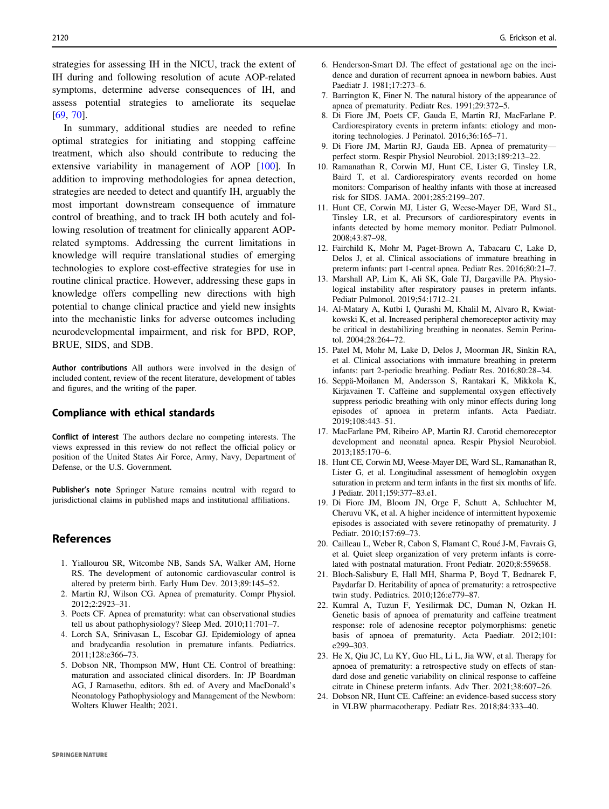<span id="page-9-0"></span>strategies for assessing IH in the NICU, track the extent of IH during and following resolution of acute AOP-related symptoms, determine adverse consequences of IH, and assess potential strategies to ameliorate its sequelae [\[69](#page-11-0), [70](#page-11-0)].

In summary, additional studies are needed to refine optimal strategies for initiating and stopping caffeine treatment, which also should contribute to reducing the extensive variability in management of AOP [\[100](#page-11-0)]. In addition to improving methodologies for apnea detection, strategies are needed to detect and quantify IH, arguably the most important downstream consequence of immature control of breathing, and to track IH both acutely and following resolution of treatment for clinically apparent AOPrelated symptoms. Addressing the current limitations in knowledge will require translational studies of emerging technologies to explore cost-effective strategies for use in routine clinical practice. However, addressing these gaps in knowledge offers compelling new directions with high potential to change clinical practice and yield new insights into the mechanistic links for adverse outcomes including neurodevelopmental impairment, and risk for BPD, ROP, BRUE, SIDS, and SDB.

Author contributions All authors were involved in the design of included content, review of the recent literature, development of tables and figures, and the writing of the paper.

# Compliance with ethical standards

Conflict of interest The authors declare no competing interests. The views expressed in this review do not reflect the official policy or position of the United States Air Force, Army, Navy, Department of Defense, or the U.S. Government.

Publisher's note Springer Nature remains neutral with regard to jurisdictional claims in published maps and institutional affiliations.

### References

- 1. Yiallourou SR, Witcombe NB, Sands SA, Walker AM, Horne RS. The development of autonomic cardiovascular control is altered by preterm birth. Early Hum Dev. 2013;89:145–52.
- 2. Martin RJ, Wilson CG. Apnea of prematurity. Compr Physiol. 2012;2:2923–31.
- 3. Poets CF. Apnea of prematurity: what can observational studies tell us about pathophysiology? Sleep Med. 2010;11:701–7.
- 4. Lorch SA, Srinivasan L, Escobar GJ. Epidemiology of apnea and bradycardia resolution in premature infants. Pediatrics. 2011;128:e366–73.
- 5. Dobson NR, Thompson MW, Hunt CE. Control of breathing: maturation and associated clinical disorders. In: JP Boardman AG, J Ramasethu, editors. 8th ed. of Avery and MacDonald's Neonatology Pathophysiology and Management of the Newborn: Wolters Kluwer Health; 2021.
- 6. Henderson-Smart DJ. The effect of gestational age on the incidence and duration of recurrent apnoea in newborn babies. Aust Paediatr J. 1981;17:273–6.
- 7. Barrington K, Finer N. The natural history of the appearance of apnea of prematurity. Pediatr Res. 1991;29:372–5.
- 8. Di Fiore JM, Poets CF, Gauda E, Martin RJ, MacFarlane P. Cardiorespiratory events in preterm infants: etiology and monitoring technologies. J Perinatol. 2016;36:165–71.
- 9. Di Fiore JM, Martin RJ, Gauda EB. Apnea of prematurity perfect storm. Respir Physiol Neurobiol. 2013;189:213–22.
- 10. Ramanathan R, Corwin MJ, Hunt CE, Lister G, Tinsley LR, Baird T, et al. Cardiorespiratory events recorded on home monitors: Comparison of healthy infants with those at increased risk for SIDS. JAMA. 2001;285:2199–207.
- 11. Hunt CE, Corwin MJ, Lister G, Weese-Mayer DE, Ward SL, Tinsley LR, et al. Precursors of cardiorespiratory events in infants detected by home memory monitor. Pediatr Pulmonol. 2008;43:87–98.
- 12. Fairchild K, Mohr M, Paget-Brown A, Tabacaru C, Lake D, Delos J, et al. Clinical associations of immature breathing in preterm infants: part 1-central apnea. Pediatr Res. 2016;80:21–7.
- 13. Marshall AP, Lim K, Ali SK, Gale TJ, Dargaville PA. Physiological instability after respiratory pauses in preterm infants. Pediatr Pulmonol. 2019;54:1712–21.
- 14. Al-Matary A, Kutbi I, Qurashi M, Khalil M, Alvaro R, Kwiatkowski K, et al. Increased peripheral chemoreceptor activity may be critical in destabilizing breathing in neonates. Semin Perinatol. 2004;28:264–72.
- 15. Patel M, Mohr M, Lake D, Delos J, Moorman JR, Sinkin RA, et al. Clinical associations with immature breathing in preterm infants: part 2-periodic breathing. Pediatr Res. 2016;80:28–34.
- 16. Seppä-Moilanen M, Andersson S, Rantakari K, Mikkola K, Kirjavainen T. Caffeine and supplemental oxygen effectively suppress periodic breathing with only minor effects during long episodes of apnoea in preterm infants. Acta Paediatr. 2019;108:443–51.
- 17. MacFarlane PM, Ribeiro AP, Martin RJ. Carotid chemoreceptor development and neonatal apnea. Respir Physiol Neurobiol. 2013;185:170–6.
- 18. Hunt CE, Corwin MJ, Weese-Mayer DE, Ward SL, Ramanathan R, Lister G, et al. Longitudinal assessment of hemoglobin oxygen saturation in preterm and term infants in the first six months of life. J Pediatr. 2011;159:377–83.e1.
- 19. Di Fiore JM, Bloom JN, Orge F, Schutt A, Schluchter M, Cheruvu VK, et al. A higher incidence of intermittent hypoxemic episodes is associated with severe retinopathy of prematurity. J Pediatr. 2010;157:69–73.
- 20. Cailleau L, Weber R, Cabon S, Flamant C, Roué J-M, Favrais G, et al. Quiet sleep organization of very preterm infants is correlated with postnatal maturation. Front Pediatr. 2020;8:559658.
- 21. Bloch-Salisbury E, Hall MH, Sharma P, Boyd T, Bednarek F, Paydarfar D. Heritability of apnea of prematurity: a retrospective twin study. Pediatrics. 2010;126:e779–87.
- 22. Kumral A, Tuzun F, Yesilirmak DC, Duman N, Ozkan H. Genetic basis of apnoea of prematurity and caffeine treatment response: role of adenosine receptor polymorphisms: genetic basis of apnoea of prematurity. Acta Paediatr. 2012;101: e299–303.
- 23. He X, Qiu JC, Lu KY, Guo HL, Li L, Jia WW, et al. Therapy for apnoea of prematurity: a retrospective study on effects of standard dose and genetic variability on clinical response to caffeine citrate in Chinese preterm infants. Adv Ther. 2021;38:607–26.
- 24. Dobson NR, Hunt CE. Caffeine: an evidence-based success story in VLBW pharmacotherapy. Pediatr Res. 2018;84:333–40.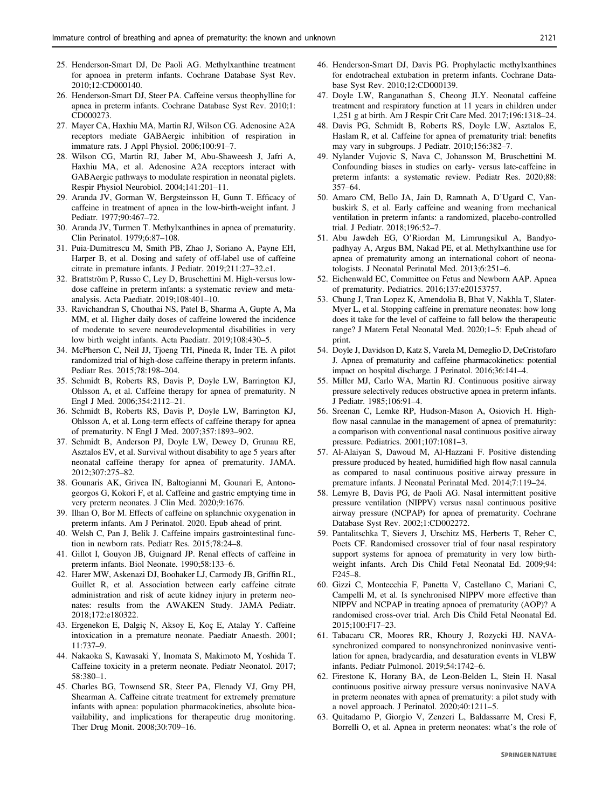- <span id="page-10-0"></span>25. Henderson-Smart DJ, De Paoli AG. Methylxanthine treatment for apnoea in preterm infants. Cochrane Database Syst Rev. 2010;12:CD000140.
- 26. Henderson-Smart DJ, Steer PA. Caffeine versus theophylline for apnea in preterm infants. Cochrane Database Syst Rev. 2010;1: CD000273.
- 27. Mayer CA, Haxhiu MA, Martin RJ, Wilson CG. Adenosine A2A receptors mediate GABAergic inhibition of respiration in immature rats. J Appl Physiol. 2006;100:91–7.
- 28. Wilson CG, Martin RJ, Jaber M, Abu-Shaweesh J, Jafri A, Haxhiu MA, et al. Adenosine A2A receptors interact with GABAergic pathways to modulate respiration in neonatal piglets. Respir Physiol Neurobiol. 2004;141:201–11.
- 29. Aranda JV, Gorman W, Bergsteinsson H, Gunn T. Efficacy of caffeine in treatment of apnea in the low-birth-weight infant. J Pediatr. 1977;90:467–72.
- 30. Aranda JV, Turmen T. Methylxanthines in apnea of prematurity. Clin Perinatol. 1979;6:87–108.
- 31. Puia-Dumitrescu M, Smith PB, Zhao J, Soriano A, Payne EH, Harper B, et al. Dosing and safety of off-label use of caffeine citrate in premature infants. J Pediatr. 2019;211:27–32.e1.
- 32. Brattström P, Russo C, Ley D, Bruschettini M. High-versus lowdose caffeine in preterm infants: a systematic review and metaanalysis. Acta Paediatr. 2019;108:401–10.
- 33. Ravichandran S, Chouthai NS, Patel B, Sharma A, Gupte A, Ma MM, et al. Higher daily doses of caffeine lowered the incidence of moderate to severe neurodevelopmental disabilities in very low birth weight infants. Acta Paediatr. 2019;108:430–5.
- 34. McPherson C, Neil JJ, Tjoeng TH, Pineda R, Inder TE. A pilot randomized trial of high-dose caffeine therapy in preterm infants. Pediatr Res. 2015;78:198–204.
- 35. Schmidt B, Roberts RS, Davis P, Doyle LW, Barrington KJ, Ohlsson A, et al. Caffeine therapy for apnea of prematurity. N Engl J Med. 2006;354:2112–21.
- 36. Schmidt B, Roberts RS, Davis P, Doyle LW, Barrington KJ, Ohlsson A, et al. Long-term effects of caffeine therapy for apnea of prematurity. N Engl J Med. 2007;357:1893–902.
- 37. Schmidt B, Anderson PJ, Doyle LW, Dewey D, Grunau RE, Asztalos EV, et al. Survival without disability to age 5 years after neonatal caffeine therapy for apnea of prematurity. JAMA. 2012;307:275–82.
- 38. Gounaris AK, Grivea IN, Baltogianni M, Gounari E, Antonogeorgos G, Kokori F, et al. Caffeine and gastric emptying time in very preterm neonates. J Clin Med. 2020;9:1676.
- 39. Ilhan O, Bor M. Effects of caffeine on splanchnic oxygenation in preterm infants. Am J Perinatol. 2020. Epub ahead of print.
- 40. Welsh C, Pan J, Belik J. Caffeine impairs gastrointestinal function in newborn rats. Pediatr Res. 2015;78:24–8.
- 41. Gillot I, Gouyon JB, Guignard JP. Renal effects of caffeine in preterm infants. Biol Neonate. 1990;58:133–6.
- 42. Harer MW, Askenazi DJ, Boohaker LJ, Carmody JB, Griffin RL, Guillet R, et al. Association between early caffeine citrate administration and risk of acute kidney injury in preterm neonates: results from the AWAKEN Study. JAMA Pediatr. 2018;172:e180322.
- 43. Ergenekon E, Dalgiç N, Aksoy E, Koç E, Atalay Y. Caffeine intoxication in a premature neonate. Paediatr Anaesth. 2001; 11:737–9.
- 44. Nakaoka S, Kawasaki Y, Inomata S, Makimoto M, Yoshida T. Caffeine toxicity in a preterm neonate. Pediatr Neonatol. 2017; 58:380–1.
- 45. Charles BG, Townsend SR, Steer PA, Flenady VJ, Gray PH, Shearman A. Caffeine citrate treatment for extremely premature infants with apnea: population pharmacokinetics, absolute bioavailability, and implications for therapeutic drug monitoring. Ther Drug Monit. 2008;30:709–16.
- 46. Henderson-Smart DJ, Davis PG. Prophylactic methylxanthines for endotracheal extubation in preterm infants. Cochrane Database Syst Rev. 2010;12:CD000139.
- 47. Doyle LW, Ranganathan S, Cheong JLY. Neonatal caffeine treatment and respiratory function at 11 years in children under 1,251 g at birth. Am J Respir Crit Care Med. 2017;196:1318–24.
- 48. Davis PG, Schmidt B, Roberts RS, Doyle LW, Asztalos E, Haslam R, et al. Caffeine for apnea of prematurity trial: benefits may vary in subgroups. J Pediatr. 2010;156:382–7.
- 49. Nylander Vujovic S, Nava C, Johansson M, Bruschettini M. Confounding biases in studies on early- versus late-caffeine in preterm infants: a systematic review. Pediatr Res. 2020;88: 357–64.
- 50. Amaro CM, Bello JA, Jain D, Ramnath A, D'Ugard C, Vanbuskirk S, et al. Early caffeine and weaning from mechanical ventilation in preterm infants: a randomized, placebo-controlled trial. J Pediatr. 2018;196:52–7.
- 51. Abu Jawdeh EG, O'Riordan M, Limrungsikul A, Bandyopadhyay A, Argus BM, Nakad PE, et al. Methylxanthine use for apnea of prematurity among an international cohort of neonatologists. J Neonatal Perinatal Med. 2013;6:251–6.
- 52. Eichenwald EC, Committee on Fetus and Newborn AAP. Apnea of prematurity. Pediatrics. 2016;137:e20153757.
- 53. Chung J, Tran Lopez K, Amendolia B, Bhat V, Nakhla T, Slater-Myer L, et al. Stopping caffeine in premature neonates: how long does it take for the level of caffeine to fall below the therapeutic range? J Matern Fetal Neonatal Med. 2020;1–5: Epub ahead of print.
- 54. Doyle J, Davidson D, Katz S, Varela M, Demeglio D, DeCristofaro J. Apnea of prematurity and caffeine pharmacokinetics: potential impact on hospital discharge. J Perinatol. 2016;36:141–4.
- 55. Miller MJ, Carlo WA, Martin RJ. Continuous positive airway pressure selectively reduces obstructive apnea in preterm infants. J Pediatr. 1985;106:91–4.
- 56. Sreenan C, Lemke RP, Hudson-Mason A, Osiovich H. Highflow nasal cannulae in the management of apnea of prematurity: a comparison with conventional nasal continuous positive airway pressure. Pediatrics. 2001;107:1081–3.
- 57. Al-Alaiyan S, Dawoud M, Al-Hazzani F. Positive distending pressure produced by heated, humidified high flow nasal cannula as compared to nasal continuous positive airway pressure in premature infants. J Neonatal Perinatal Med. 2014;7:119–24.
- 58. Lemyre B, Davis PG, de Paoli AG. Nasal intermittent positive pressure ventilation (NIPPV) versus nasal continuous positive airway pressure (NCPAP) for apnea of prematurity. Cochrane Database Syst Rev. 2002;1:CD002272.
- 59. Pantalitschka T, Sievers J, Urschitz MS, Herberts T, Reher C, Poets CF. Randomised crossover trial of four nasal respiratory support systems for apnoea of prematurity in very low birthweight infants. Arch Dis Child Fetal Neonatal Ed. 2009;94: F245–8.
- 60. Gizzi C, Montecchia F, Panetta V, Castellano C, Mariani C, Campelli M, et al. Is synchronised NIPPV more effective than NIPPV and NCPAP in treating apnoea of prematurity (AOP)? A randomised cross-over trial. Arch Dis Child Fetal Neonatal Ed. 2015;100:F17–23.
- 61. Tabacaru CR, Moores RR, Khoury J, Rozycki HJ. NAVAsynchronized compared to nonsynchronized noninvasive ventilation for apnea, bradycardia, and desaturation events in VLBW infants. Pediatr Pulmonol. 2019;54:1742–6.
- 62. Firestone K, Horany BA, de Leon-Belden L, Stein H. Nasal continuous positive airway pressure versus noninvasive NAVA in preterm neonates with apnea of prematurity: a pilot study with a novel approach. J Perinatol. 2020;40:1211–5.
- 63. Quitadamo P, Giorgio V, Zenzeri L, Baldassarre M, Cresi F, Borrelli O, et al. Apnea in preterm neonates: what's the role of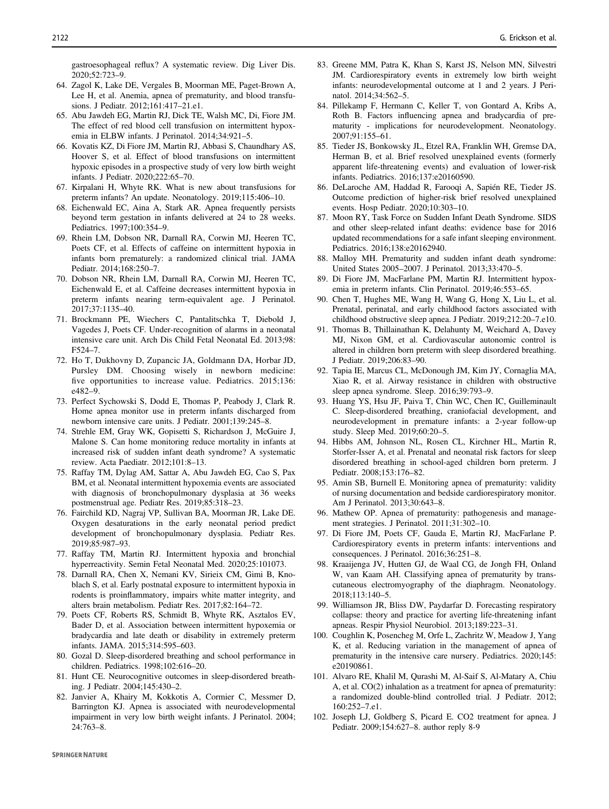<span id="page-11-0"></span>gastroesophageal reflux? A systematic review. Dig Liver Dis. 2020;52:723–9.

- 64. Zagol K, Lake DE, Vergales B, Moorman ME, Paget-Brown A, Lee H, et al. Anemia, apnea of prematurity, and blood transfusions. J Pediatr. 2012;161:417–21.e1.
- 65. Abu Jawdeh EG, Martin RJ, Dick TE, Walsh MC, Di, Fiore JM. The effect of red blood cell transfusion on intermittent hypoxemia in ELBW infants. J Perinatol. 2014;34:921–5.
- 66. Kovatis KZ, Di Fiore JM, Martin RJ, Abbasi S, Chaundhary AS, Hoover S, et al. Effect of blood transfusions on intermittent hypoxic episodes in a prospective study of very low birth weight infants. J Pediatr. 2020;222:65–70.
- 67. Kirpalani H, Whyte RK. What is new about transfusions for preterm infants? An update. Neonatology. 2019;115:406–10.
- 68. Eichenwald EC, Aina A, Stark AR. Apnea frequently persists beyond term gestation in infants delivered at 24 to 28 weeks. Pediatrics. 1997;100:354–9.
- 69. Rhein LM, Dobson NR, Darnall RA, Corwin MJ, Heeren TC, Poets CF, et al. Effects of caffeine on intermittent hypoxia in infants born prematurely: a randomized clinical trial. JAMA Pediatr. 2014;168:250–7.
- 70. Dobson NR, Rhein LM, Darnall RA, Corwin MJ, Heeren TC, Eichenwald E, et al. Caffeine decreases intermittent hypoxia in preterm infants nearing term-equivalent age. J Perinatol. 2017;37:1135–40.
- 71. Brockmann PE, Wiechers C, Pantalitschka T, Diebold J, Vagedes J, Poets CF. Under-recognition of alarms in a neonatal intensive care unit. Arch Dis Child Fetal Neonatal Ed. 2013;98: F524–7.
- 72. Ho T, Dukhovny D, Zupancic JA, Goldmann DA, Horbar JD, Pursley DM. Choosing wisely in newborn medicine: five opportunities to increase value. Pediatrics. 2015;136: e482–9.
- 73. Perfect Sychowski S, Dodd E, Thomas P, Peabody J, Clark R. Home apnea monitor use in preterm infants discharged from newborn intensive care units. J Pediatr. 2001;139:245–8.
- 74. Strehle EM, Gray WK, Gopisetti S, Richardson J, McGuire J, Malone S. Can home monitoring reduce mortality in infants at increased risk of sudden infant death syndrome? A systematic review. Acta Paediatr. 2012;101:8–13.
- 75. Raffay TM, Dylag AM, Sattar A, Abu Jawdeh EG, Cao S, Pax BM, et al. Neonatal intermittent hypoxemia events are associated with diagnosis of bronchopulmonary dysplasia at 36 weeks postmenstrual age. Pediatr Res. 2019;85:318–23.
- 76. Fairchild KD, Nagraj VP, Sullivan BA, Moorman JR, Lake DE. Oxygen desaturations in the early neonatal period predict development of bronchopulmonary dysplasia. Pediatr Res. 2019;85:987–93.
- 77. Raffay TM, Martin RJ. Intermittent hypoxia and bronchial hyperreactivity. Semin Fetal Neonatal Med. 2020;25:101073.
- 78. Darnall RA, Chen X, Nemani KV, Sirieix CM, Gimi B, Knoblach S, et al. Early postnatal exposure to intermittent hypoxia in rodents is proinflammatory, impairs white matter integrity, and alters brain metabolism. Pediatr Res. 2017;82:164–72.
- 79. Poets CF, Roberts RS, Schmidt B, Whyte RK, Asztalos EV, Bader D, et al. Association between intermittent hypoxemia or bradycardia and late death or disability in extremely preterm infants. JAMA. 2015;314:595–603.
- 80. Gozal D. Sleep-disordered breathing and school performance in children. Pediatrics. 1998;102:616–20.
- 81. Hunt CE. Neurocognitive outcomes in sleep-disordered breathing. J Pediatr. 2004;145:430–2.
- 82. Janvier A, Khairy M, Kokkotis A, Cormier C, Messmer D, Barrington KJ. Apnea is associated with neurodevelopmental impairment in very low birth weight infants. J Perinatol. 2004; 24:763–8.
- 83. Greene MM, Patra K, Khan S, Karst JS, Nelson MN, Silvestri JM. Cardiorespiratory events in extremely low birth weight infants: neurodevelopmental outcome at 1 and 2 years. J Perinatol. 2014;34:562–5.
- 84. Pillekamp F, Hermann C, Keller T, von Gontard A, Kribs A, Roth B. Factors influencing apnea and bradycardia of prematurity - implications for neurodevelopment. Neonatology. 2007;91:155–61.
- 85. Tieder JS, Bonkowsky JL, Etzel RA, Franklin WH, Gremse DA, Herman B, et al. Brief resolved unexplained events (formerly apparent life-threatening events) and evaluation of lower-risk infants. Pediatrics. 2016;137:e20160590.
- 86. DeLaroche AM, Haddad R, Farooqi A, Sapién RE, Tieder JS. Outcome prediction of higher-risk brief resolved unexplained events. Hosp Pediatr. 2020;10:303–10.
- 87. Moon RY, Task Force on Sudden Infant Death Syndrome. SIDS and other sleep-related infant deaths: evidence base for 2016 updated recommendations for a safe infant sleeping environment. Pediatrics. 2016;138:e20162940.
- 88. Malloy MH. Prematurity and sudden infant death syndrome: United States 2005–2007. J Perinatol. 2013;33:470–5.
- 89. Di Fiore JM, MacFarlane PM, Martin RJ. Intermittent hypoxemia in preterm infants. Clin Perinatol. 2019;46:553–65.
- 90. Chen T, Hughes ME, Wang H, Wang G, Hong X, Liu L, et al. Prenatal, perinatal, and early childhood factors associated with childhood obstructive sleep apnea. J Pediatr. 2019;212:20–7.e10.
- 91. Thomas B, Thillainathan K, Delahunty M, Weichard A, Davey MJ, Nixon GM, et al. Cardiovascular autonomic control is altered in children born preterm with sleep disordered breathing. J Pediatr. 2019;206:83–90.
- 92. Tapia IE, Marcus CL, McDonough JM, Kim JY, Cornaglia MA, Xiao R, et al. Airway resistance in children with obstructive sleep apnea syndrome. Sleep. 2016;39:793–9.
- 93. Huang YS, Hsu JF, Paiva T, Chin WC, Chen IC, Guilleminault C. Sleep-disordered breathing, craniofacial development, and neurodevelopment in premature infants: a 2-year follow-up study. Sleep Med. 2019;60:20–5.
- 94. Hibbs AM, Johnson NL, Rosen CL, Kirchner HL, Martin R, Storfer-Isser A, et al. Prenatal and neonatal risk factors for sleep disordered breathing in school-aged children born preterm. J Pediatr. 2008;153:176–82.
- 95. Amin SB, Burnell E. Monitoring apnea of prematurity: validity of nursing documentation and bedside cardiorespiratory monitor. Am J Perinatol. 2013;30:643–8.
- 96. Mathew OP. Apnea of prematurity: pathogenesis and management strategies. J Perinatol. 2011;31:302–10.
- 97. Di Fiore JM, Poets CF, Gauda E, Martin RJ, MacFarlane P. Cardiorespiratory events in preterm infants: interventions and consequences. J Perinatol. 2016;36:251–8.
- 98. Kraaijenga JV, Hutten GJ, de Waal CG, de Jongh FH, Onland W, van Kaam AH. Classifying apnea of prematurity by transcutaneous electromyography of the diaphragm. Neonatology. 2018;113:140–5.
- 99. Williamson JR, Bliss DW, Paydarfar D. Forecasting respiratory collapse: theory and practice for averting life-threatening infant apneas. Respir Physiol Neurobiol. 2013;189:223–31.
- 100. Coughlin K, Posencheg M, Orfe L, Zachritz W, Meadow J, Yang K, et al. Reducing variation in the management of apnea of prematurity in the intensive care nursery. Pediatrics. 2020;145: e20190861.
- 101. Alvaro RE, Khalil M, Qurashi M, Al-Saif S, Al-Matary A, Chiu A, et al. CO(2) inhalation as a treatment for apnea of prematurity: a randomized double-blind controlled trial. J Pediatr. 2012; 160:252–7.e1.
- 102. Joseph LJ, Goldberg S, Picard E. CO2 treatment for apnea. J Pediatr. 2009;154:627–8. author reply 8-9